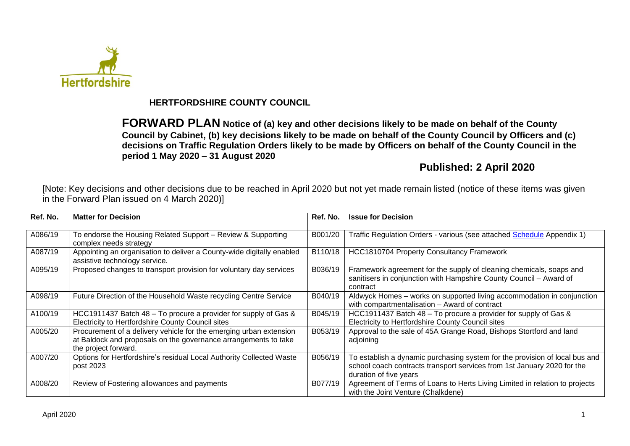

# **HERTFORDSHIRE COUNTY COUNCIL**

**FORWARD PLAN Notice of (a) key and other decisions likely to be made on behalf of the County Council by Cabinet, (b) key decisions likely to be made on behalf of the County Council by Officers and (c) decisions on Traffic Regulation Orders likely to be made by Officers on behalf of the County Council in the period 1 May 2020 – 31 August 2020**

# **Published: 2 April 2020**

[Note: Key decisions and other decisions due to be reached in April 2020 but not yet made remain listed (notice of these items was given in the Forward Plan issued on 4 March 2020)]

| Ref. No. | <b>Matter for Decision</b>                                                                                                                                    | Ref. No. | <b>Issue for Decision</b>                                                                                                                                                        |
|----------|---------------------------------------------------------------------------------------------------------------------------------------------------------------|----------|----------------------------------------------------------------------------------------------------------------------------------------------------------------------------------|
| A086/19  | To endorse the Housing Related Support - Review & Supporting<br>complex needs strategy                                                                        | B001/20  | Traffic Regulation Orders - various (see attached Schedule Appendix 1)                                                                                                           |
| A087/19  | Appointing an organisation to deliver a County-wide digitally enabled<br>assistive technology service.                                                        | B110/18  | HCC1810704 Property Consultancy Framework                                                                                                                                        |
| A095/19  | Proposed changes to transport provision for voluntary day services                                                                                            | B036/19  | Framework agreement for the supply of cleaning chemicals, soaps and<br>sanitisers in conjunction with Hampshire County Council - Award of<br>contract                            |
| A098/19  | Future Direction of the Household Waste recycling Centre Service                                                                                              | B040/19  | Aldwyck Homes – works on supported living accommodation in conjunction<br>with compartmentalisation - Award of contract                                                          |
| A100/19  | HCC1911437 Batch 48 – To procure a provider for supply of Gas &<br>Electricity to Hertfordshire County Council sites                                          | B045/19  | HCC1911437 Batch 48 – To procure a provider for supply of Gas &<br>Electricity to Hertfordshire County Council sites                                                             |
| A005/20  | Procurement of a delivery vehicle for the emerging urban extension<br>at Baldock and proposals on the governance arrangements to take<br>the project forward. | B053/19  | Approval to the sale of 45A Grange Road, Bishops Stortford and land<br>adjoining                                                                                                 |
| A007/20  | Options for Hertfordshire's residual Local Authority Collected Waste<br>post 2023                                                                             | B056/19  | To establish a dynamic purchasing system for the provision of local bus and<br>school coach contracts transport services from 1st January 2020 for the<br>duration of five years |
| A008/20  | Review of Fostering allowances and payments                                                                                                                   | B077/19  | Agreement of Terms of Loans to Herts Living Limited in relation to projects<br>with the Joint Venture (Chalkdene)                                                                |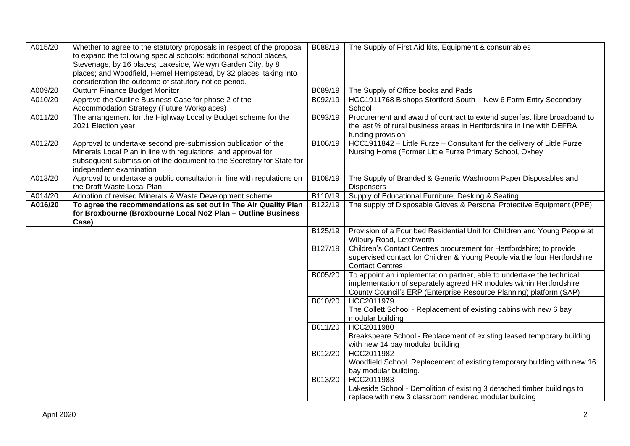| A015/20 | Whether to agree to the statutory proposals in respect of the proposal<br>to expand the following special schools: additional school places,<br>Stevenage, by 16 places; Lakeside, Welwyn Garden City, by 8<br>places; and Woodfield, Hemel Hempstead, by 32 places, taking into<br>consideration the outcome of statutory notice period. | B088/19              | The Supply of First Aid kits, Equipment & consumables                                                                                                                                                              |
|---------|-------------------------------------------------------------------------------------------------------------------------------------------------------------------------------------------------------------------------------------------------------------------------------------------------------------------------------------------|----------------------|--------------------------------------------------------------------------------------------------------------------------------------------------------------------------------------------------------------------|
| A009/20 | Outturn Finance Budget Monitor                                                                                                                                                                                                                                                                                                            | B089/19              | The Supply of Office books and Pads                                                                                                                                                                                |
| A010/20 | Approve the Outline Business Case for phase 2 of the<br>Accommodation Strategy (Future Workplaces)                                                                                                                                                                                                                                        | B092/19              | HCC1911768 Bishops Stortford South - New 6 Form Entry Secondary<br>School                                                                                                                                          |
| A011/20 | The arrangement for the Highway Locality Budget scheme for the<br>2021 Election year                                                                                                                                                                                                                                                      | B093/19              | Procurement and award of contract to extend superfast fibre broadband to<br>the last % of rural business areas in Hertfordshire in line with DEFRA<br>funding provision                                            |
| A012/20 | Approval to undertake second pre-submission publication of the<br>Minerals Local Plan in line with regulations; and approval for<br>subsequent submission of the document to the Secretary for State for<br>independent examination                                                                                                       | B106/19              | HCC1911842 - Little Furze - Consultant for the delivery of Little Furze<br>Nursing Home (Former Little Furze Primary School, Oxhey                                                                                 |
| A013/20 | Approval to undertake a public consultation in line with regulations on<br>the Draft Waste Local Plan                                                                                                                                                                                                                                     | B108/19              | The Supply of Branded & Generic Washroom Paper Disposables and<br><b>Dispensers</b>                                                                                                                                |
| A014/20 | Adoption of revised Minerals & Waste Development scheme                                                                                                                                                                                                                                                                                   | B110/19              | Supply of Educational Furniture, Desking & Seating                                                                                                                                                                 |
| A016/20 | To agree the recommendations as set out in The Air Quality Plan<br>for Broxbourne (Broxbourne Local No2 Plan - Outline Business<br>Case)                                                                                                                                                                                                  | B <sub>122</sub> /19 | The supply of Disposable Gloves & Personal Protective Equipment (PPE)                                                                                                                                              |
|         |                                                                                                                                                                                                                                                                                                                                           | B125/19              | Provision of a Four bed Residential Unit for Children and Young People at<br>Wilbury Road, Letchworth                                                                                                              |
|         |                                                                                                                                                                                                                                                                                                                                           | B127/19              | Children's Contact Centres procurement for Hertfordshire; to provide<br>supervised contact for Children & Young People via the four Hertfordshire<br><b>Contact Centres</b>                                        |
|         |                                                                                                                                                                                                                                                                                                                                           | B005/20              | To appoint an implementation partner, able to undertake the technical<br>implementation of separately agreed HR modules within Hertfordshire<br>County Council's ERP (Enterprise Resource Planning) platform (SAP) |
|         |                                                                                                                                                                                                                                                                                                                                           | B010/20              | HCC2011979<br>The Collett School - Replacement of existing cabins with new 6 bay<br>modular building                                                                                                               |
|         |                                                                                                                                                                                                                                                                                                                                           | B011/20              | HCC2011980<br>Breakspeare School - Replacement of existing leased temporary building<br>with new 14 bay modular building                                                                                           |
|         |                                                                                                                                                                                                                                                                                                                                           | B012/20              | HCC2011982<br>Woodfield School, Replacement of existing temporary building with new 16<br>bay modular building.                                                                                                    |
|         |                                                                                                                                                                                                                                                                                                                                           | B013/20              | HCC2011983<br>Lakeside School - Demolition of existing 3 detached timber buildings to<br>replace with new 3 classroom rendered modular building                                                                    |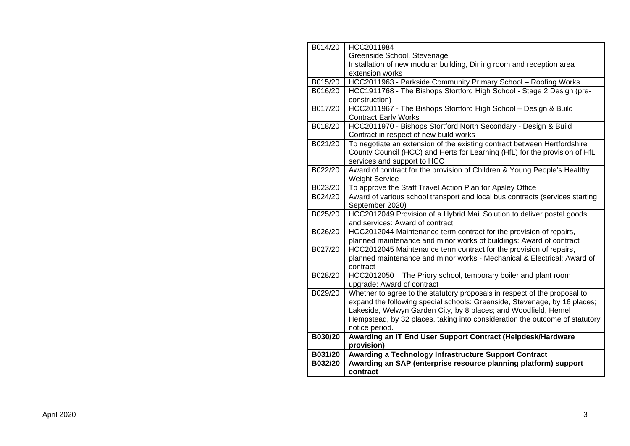| B014/20 | HCC2011984                                                                   |
|---------|------------------------------------------------------------------------------|
|         | Greenside School, Stevenage                                                  |
|         | Installation of new modular building, Dining room and reception area         |
|         | extension works                                                              |
| B015/20 | HCC2011963 - Parkside Community Primary School - Roofing Works               |
| B016/20 | HCC1911768 - The Bishops Stortford High School - Stage 2 Design (pre-        |
|         | construction)                                                                |
| B017/20 | HCC2011967 - The Bishops Stortford High School - Design & Build              |
|         | <b>Contract Early Works</b>                                                  |
| B018/20 | HCC2011970 - Bishops Stortford North Secondary - Design & Build              |
|         | Contract in respect of new build works                                       |
| B021/20 | To negotiate an extension of the existing contract between Hertfordshire     |
|         | County Council (HCC) and Herts for Learning (HfL) for the provision of HfL   |
|         | services and support to HCC                                                  |
| B022/20 | Award of contract for the provision of Children & Young People's Healthy     |
|         | <b>Weight Service</b>                                                        |
| B023/20 | To approve the Staff Travel Action Plan for Apsley Office                    |
| B024/20 | Award of various school transport and local bus contracts (services starting |
|         | September 2020)                                                              |
| B025/20 | HCC2012049 Provision of a Hybrid Mail Solution to deliver postal goods       |
|         | and services: Award of contract                                              |
| B026/20 | HCC2012044 Maintenance term contract for the provision of repairs,           |
|         | planned maintenance and minor works of buildings: Award of contract          |
| B027/20 | HCC2012045 Maintenance term contract for the provision of repairs,           |
|         | planned maintenance and minor works - Mechanical & Electrical: Award of      |
|         | contract                                                                     |
| B028/20 | HCC2012050 The Priory school, temporary boiler and plant room                |
|         | upgrade: Award of contract                                                   |
| B029/20 | Whether to agree to the statutory proposals in respect of the proposal to    |
|         | expand the following special schools: Greenside, Stevenage, by 16 places;    |
|         | Lakeside, Welwyn Garden City, by 8 places; and Woodfield, Hemel              |
|         | Hempstead, by 32 places, taking into consideration the outcome of statutory  |
|         | notice period.                                                               |
| B030/20 | Awarding an IT End User Support Contract (Helpdesk/Hardware                  |
|         | provision)                                                                   |
| B031/20 | <b>Awarding a Technology Infrastructure Support Contract</b>                 |
| B032/20 | Awarding an SAP (enterprise resource planning platform) support              |
|         | contract                                                                     |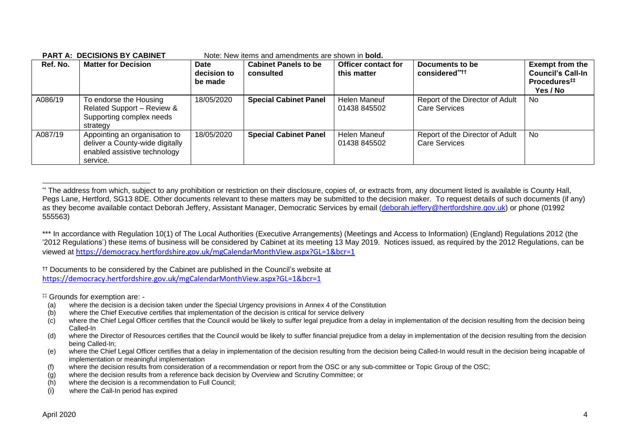| Ref. No. | <b>Matter for Decision</b>                                                                                   | Date<br>decision to<br>be made | <b>Cabinet Panels to be</b><br>consulted | <b>Officer contact for</b><br>this matter | Documents to be<br>considered****                       | <b>Exempt from the</b><br><b>Council's Call-In</b><br>Procedures <sup>#</sup><br>Yes / No |
|----------|--------------------------------------------------------------------------------------------------------------|--------------------------------|------------------------------------------|-------------------------------------------|---------------------------------------------------------|-------------------------------------------------------------------------------------------|
| A086/19  | To endorse the Housing<br>Related Support - Review &<br>Supporting complex needs<br>strategy                 | 18/05/2020                     | <b>Special Cabinet Panel</b>             | Helen Maneuf<br>01438 845502              | Report of the Director of Adult<br><b>Care Services</b> | No                                                                                        |
| A087/19  | Appointing an organisation to<br>deliver a County-wide digitally<br>enabled assistive technology<br>service. | 18/05/2020                     | <b>Special Cabinet Panel</b>             | Helen Maneuf<br>01438 845502              | Report of the Director of Adult<br><b>Care Services</b> | No.                                                                                       |

#### **PART A: DECISIONS BY CABINET** Note: New items and amendments are shown in **bold.**

†† Documents to be considered by the Cabinet are published in the Council's website at <https://democracy.hertfordshire.gov.uk/mgCalendarMonthView.aspx?GL=1&bcr=1>

‡‡ Grounds for exemption are: -

- (a) where the decision is a decision taken under the Special Urgency provisions in Annex 4 of the Constitution
- (b) where the Chief Executive certifies that implementation of the decision is critical for service delivery
- (c) where the Chief Legal Officer certifies that the Council would be likely to suffer legal prejudice from a delay in implementation of the decision resulting from the decision being Called-In
- (d) where the Director of Resources certifies that the Council would be likely to suffer financial prejudice from a delay in implementation of the decision resulting from the decision being Called-In;
- (e) where the Chief Legal Officer certifies that a delay in implementation of the decision resulting from the decision being Called-In would result in the decision being incapable of implementation or meaningful implementation
- (f) where the decision results from consideration of a recommendation or report from the OSC or any sub-committee or Topic Group of the OSC;
- (g) where the decision results from a reference back decision by Overview and Scrutiny Committee; or
- (h) where the decision is a recommendation to Full Council;
- (i) where the Call-In period has expired

<sup>\*\*</sup> The address from which, subject to any prohibition or restriction on their disclosure, copies of, or extracts from, any document listed is available is County Hall, Pegs Lane, Hertford, SG13 8DE. Other documents relevant to these matters may be submitted to the decision maker. To request details of such documents (if any) as they become available contact Deborah Jeffery, Assistant Manager, Democratic Services by email [\(deborah.jeffery@hertfordshire.gov.uk\)](mailto:deborah.jeffery@hertfordshire.gov.uk) or phone (01992 555563)

<sup>\*\*\*</sup> In accordance with Regulation 10(1) of The Local Authorities (Executive Arrangements) (Meetings and Access to Information) (England) Regulations 2012 (the '2012 Regulations') these items of business will be considered by Cabinet at its meeting 13 May 2019. Notices issued, as required by the 2012 Regulations, can be viewed at <https://democracy.hertfordshire.gov.uk/mgCalendarMonthView.aspx?GL=1&bcr=1>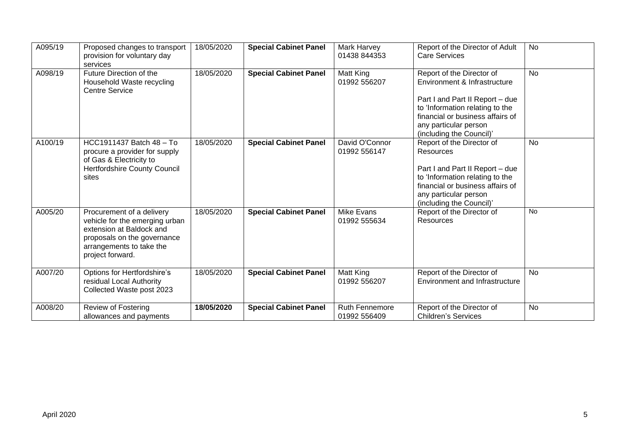| A095/19 | Proposed changes to transport<br>provision for voluntary day<br>services                                                                                               | 18/05/2020 | <b>Special Cabinet Panel</b> | <b>Mark Harvey</b><br>01438 844353 | Report of the Director of Adult<br><b>Care Services</b>                                                                                                                                                                  | <b>No</b> |
|---------|------------------------------------------------------------------------------------------------------------------------------------------------------------------------|------------|------------------------------|------------------------------------|--------------------------------------------------------------------------------------------------------------------------------------------------------------------------------------------------------------------------|-----------|
| A098/19 | Future Direction of the<br>Household Waste recycling<br><b>Centre Service</b>                                                                                          | 18/05/2020 | <b>Special Cabinet Panel</b> | Matt King<br>01992 556207          | Report of the Director of<br>Environment & Infrastructure<br>Part I and Part II Report - due<br>to 'Information relating to the<br>financial or business affairs of<br>any particular person<br>(including the Council)' | <b>No</b> |
| A100/19 | HCC1911437 Batch 48 - To<br>procure a provider for supply<br>of Gas & Electricity to<br><b>Hertfordshire County Council</b><br>sites                                   | 18/05/2020 | <b>Special Cabinet Panel</b> | David O'Connor<br>01992 556147     | Report of the Director of<br>Resources<br>Part I and Part II Report - due<br>to 'Information relating to the<br>financial or business affairs of<br>any particular person<br>(including the Council)'                    | <b>No</b> |
| A005/20 | Procurement of a delivery<br>vehicle for the emerging urban<br>extension at Baldock and<br>proposals on the governance<br>arrangements to take the<br>project forward. | 18/05/2020 | <b>Special Cabinet Panel</b> | <b>Mike Evans</b><br>01992 555634  | Report of the Director of<br><b>Resources</b>                                                                                                                                                                            | <b>No</b> |
| A007/20 | Options for Hertfordshire's<br>residual Local Authority<br>Collected Waste post 2023                                                                                   | 18/05/2020 | <b>Special Cabinet Panel</b> | Matt King<br>01992 556207          | Report of the Director of<br>Environment and Infrastructure                                                                                                                                                              | <b>No</b> |
| A008/20 | Review of Fostering<br>allowances and payments                                                                                                                         | 18/05/2020 | <b>Special Cabinet Panel</b> | Ruth Fennemore<br>01992 556409     | Report of the Director of<br><b>Children's Services</b>                                                                                                                                                                  | <b>No</b> |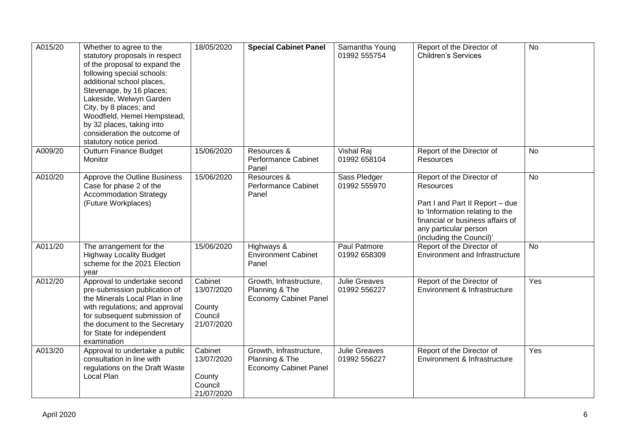| A015/20 | Whether to agree to the<br>statutory proposals in respect<br>of the proposal to expand the<br>following special schools:<br>additional school places,<br>Stevenage, by 16 places;<br>Lakeside, Welwyn Garden<br>City, by 8 places; and<br>Woodfield, Hemel Hempstead,<br>by 32 places, taking into<br>consideration the outcome of<br>statutory notice period. | 18/05/2020                                               | <b>Special Cabinet Panel</b>                                              | Samantha Young<br>01992 555754       | Report of the Director of<br><b>Children's Services</b>                                                                                                                                                      | <b>No</b> |
|---------|----------------------------------------------------------------------------------------------------------------------------------------------------------------------------------------------------------------------------------------------------------------------------------------------------------------------------------------------------------------|----------------------------------------------------------|---------------------------------------------------------------------------|--------------------------------------|--------------------------------------------------------------------------------------------------------------------------------------------------------------------------------------------------------------|-----------|
| A009/20 | <b>Outturn Finance Budget</b><br>Monitor                                                                                                                                                                                                                                                                                                                       | 15/06/2020                                               | Resources &<br>Performance Cabinet<br>Panel                               | Vishal Raj<br>01992 658104           | Report of the Director of<br>Resources                                                                                                                                                                       | No        |
| A010/20 | Approve the Outline Business<br>Case for phase 2 of the<br><b>Accommodation Strategy</b><br>(Future Workplaces)                                                                                                                                                                                                                                                | 15/06/2020                                               | Resources &<br>Performance Cabinet<br>Panel                               | Sass Pledger<br>01992 555970         | Report of the Director of<br><b>Resources</b><br>Part I and Part II Report - due<br>to 'Information relating to the<br>financial or business affairs of<br>any particular person<br>(including the Council)' | <b>No</b> |
| A011/20 | The arrangement for the<br><b>Highway Locality Budget</b><br>scheme for the 2021 Election<br>vear                                                                                                                                                                                                                                                              | 15/06/2020                                               | Highways &<br><b>Environment Cabinet</b><br>Panel                         | Paul Patmore<br>01992 658309         | Report of the Director of<br><b>Environment and Infrastructure</b>                                                                                                                                           | <b>No</b> |
| A012/20 | Approval to undertake second<br>pre-submission publication of<br>the Minerals Local Plan in line<br>with regulations; and approval<br>for subsequent submission of<br>the document to the Secretary<br>for State for independent<br>examination                                                                                                                | Cabinet<br>13/07/2020<br>County<br>Council<br>21/07/2020 | Growth, Infrastructure,<br>Planning & The<br><b>Economy Cabinet Panel</b> | <b>Julie Greaves</b><br>01992 556227 | Report of the Director of<br>Environment & Infrastructure                                                                                                                                                    | Yes       |
| A013/20 | Approval to undertake a public<br>consultation in line with<br>regulations on the Draft Waste<br>Local Plan                                                                                                                                                                                                                                                    | Cabinet<br>13/07/2020<br>County<br>Council<br>21/07/2020 | Growth, Infrastructure,<br>Planning & The<br><b>Economy Cabinet Panel</b> | <b>Julie Greaves</b><br>01992 556227 | Report of the Director of<br>Environment & Infrastructure                                                                                                                                                    | Yes       |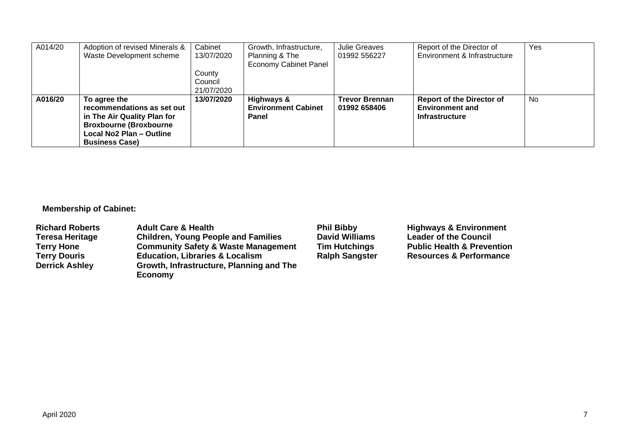| A014/20 | Adoption of revised Minerals & | Cabinet    | Growth, Infrastructure,      | <b>Julie Greaves</b>  | Report of the Director of        | Yes       |
|---------|--------------------------------|------------|------------------------------|-----------------------|----------------------------------|-----------|
|         | Waste Development scheme       | 13/07/2020 | Planning & The               | 01992 556227          | Environment & Infrastructure     |           |
|         |                                |            | <b>Economy Cabinet Panel</b> |                       |                                  |           |
|         |                                | County     |                              |                       |                                  |           |
|         |                                | Council    |                              |                       |                                  |           |
|         |                                | 21/07/2020 |                              |                       |                                  |           |
| A016/20 | To agree the                   | 13/07/2020 | <b>Highways &amp;</b>        | <b>Trevor Brennan</b> | <b>Report of the Director of</b> | <b>No</b> |
|         | recommendations as set out     |            | <b>Environment Cabinet</b>   | 01992 658406          | <b>Environment and</b>           |           |
|         | in The Air Quality Plan for    |            | Panel                        |                       | <b>Infrastructure</b>            |           |
|         | <b>Broxbourne (Broxbourne)</b> |            |                              |                       |                                  |           |
|         | Local No2 Plan - Outline       |            |                              |                       |                                  |           |
|         | <b>Business Case)</b>          |            |                              |                       |                                  |           |

# **Membership of Cabinet:**

| <b>Adult Care &amp; Health</b>                             | <b>Phil Bibby</b>     | <b>Highways &amp; Environment</b>     |
|------------------------------------------------------------|-----------------------|---------------------------------------|
| <b>Children, Young People and Families</b>                 | <b>David Williams</b> | <b>Leader of the Council</b>          |
| <b>Community Safety &amp; Waste Management</b>             | <b>Tim Hutchings</b>  | <b>Public Health &amp; Prevention</b> |
| <b>Education, Libraries &amp; Localism</b>                 | <b>Ralph Sangster</b> | <b>Resources &amp; Performance</b>    |
| Growth, Infrastructure, Planning and The<br><b>Economy</b> |                       |                                       |
|                                                            |                       |                                       |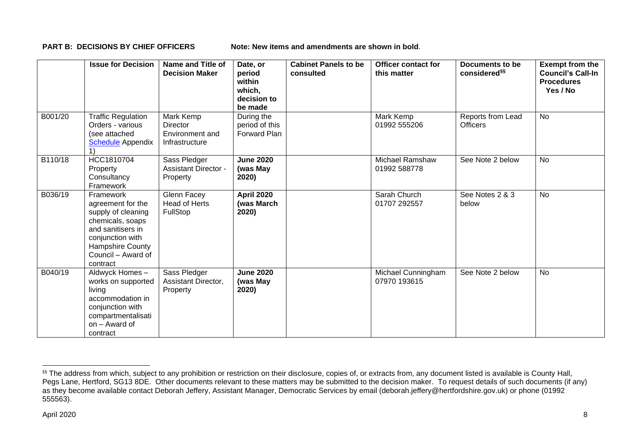**PART B: DECISIONS BY CHIEF OFFICERS** Note: New items and amendments are shown in bold.

|         | <b>Issue for Decision</b>                                                                                                                                               | Name and Title of<br><b>Decision Maker</b>                 | Date, or<br>period<br>within<br>which,<br>decision to<br>be made | <b>Cabinet Panels to be</b><br>consulted | <b>Officer contact for</b><br>this matter | Documents to be<br>considered <sup>§§</sup> | <b>Exempt from the</b><br><b>Council's Call-In</b><br><b>Procedures</b><br>Yes / No |
|---------|-------------------------------------------------------------------------------------------------------------------------------------------------------------------------|------------------------------------------------------------|------------------------------------------------------------------|------------------------------------------|-------------------------------------------|---------------------------------------------|-------------------------------------------------------------------------------------|
| B001/20 | <b>Traffic Regulation</b><br>Orders - various<br>(see attached<br><b>Schedule</b> Appendix                                                                              | Mark Kemp<br>Director<br>Environment and<br>Infrastructure | During the<br>period of this<br><b>Forward Plan</b>              |                                          | Mark Kemp<br>01992 555206                 | Reports from Lead<br><b>Officers</b>        | <b>No</b>                                                                           |
| B110/18 | HCC1810704<br>Property<br>Consultancy<br>Framework                                                                                                                      | Sass Pledger<br><b>Assistant Director -</b><br>Property    | <b>June 2020</b><br>(was May<br>2020)                            |                                          | <b>Michael Ramshaw</b><br>01992 588778    | See Note 2 below                            | No                                                                                  |
| B036/19 | Framework<br>agreement for the<br>supply of cleaning<br>chemicals, soaps<br>and sanitisers in<br>conjunction with<br>Hampshire County<br>Council – Award of<br>contract | Glenn Facey<br><b>Head of Herts</b><br>FullStop            | April 2020<br>(was March<br>2020)                                |                                          | Sarah Church<br>01707 292557              | See Notes 2 & 3<br>below                    | <b>No</b>                                                                           |
| B040/19 | Aldwyck Homes-<br>works on supported<br>living<br>accommodation in<br>conjunction with<br>compartmentalisati<br>on - Award of<br>contract                               | Sass Pledger<br>Assistant Director,<br>Property            | <b>June 2020</b><br>(was May<br>2020)                            |                                          | Michael Cunningham<br>07970 193615        | See Note 2 below                            | <b>No</b>                                                                           |

<sup>&</sup>lt;sup>§§</sup> The address from which, subject to any prohibition or restriction on their disclosure, copies of, or extracts from, any document listed is available is County Hall, Pegs Lane, Hertford, SG13 8DE. Other documents relevant to these matters may be submitted to the decision maker. To request details of such documents (if any) as they become available contact Deborah Jeffery, Assistant Manager, Democratic Services by email (deborah.jeffery@hertfordshire.gov.uk) or phone (01992 555563).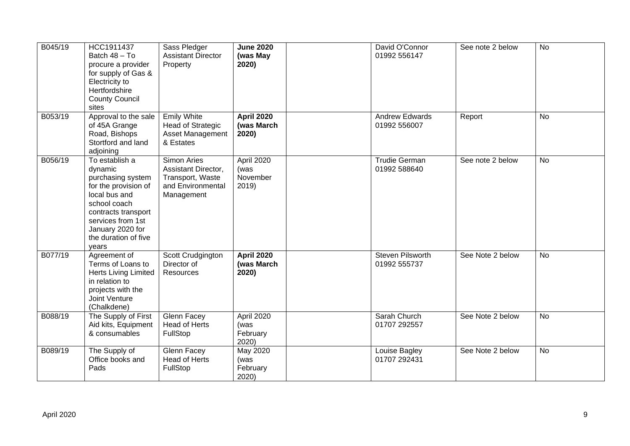| B045/19 | HCC1911437<br>Batch 48 - To<br>procure a provider<br>for supply of Gas &<br>Electricity to<br>Hertfordshire<br><b>County Council</b><br>sites                                                            | Sass Pledger<br><b>Assistant Director</b><br>Property                                     | <b>June 2020</b><br>(was May<br>2020)    | David O'Connor<br>01992 556147          | See note 2 below | <b>No</b> |
|---------|----------------------------------------------------------------------------------------------------------------------------------------------------------------------------------------------------------|-------------------------------------------------------------------------------------------|------------------------------------------|-----------------------------------------|------------------|-----------|
| B053/19 | Approval to the sale<br>of 45A Grange<br>Road, Bishops<br>Stortford and land<br>adjoining                                                                                                                | <b>Emily White</b><br>Head of Strategic<br>Asset Management<br>& Estates                  | <b>April 2020</b><br>(was March<br>2020) | <b>Andrew Edwards</b><br>01992 556007   | Report           | <b>No</b> |
| B056/19 | To establish a<br>dynamic<br>purchasing system<br>for the provision of<br>local bus and<br>school coach<br>contracts transport<br>services from 1st<br>January 2020 for<br>the duration of five<br>years | Simon Aries<br>Assistant Director,<br>Transport, Waste<br>and Environmental<br>Management | April 2020<br>(was<br>November<br>2019)  | <b>Trudie German</b><br>01992 588640    | See note 2 below | <b>No</b> |
| B077/19 | Agreement of<br>Terms of Loans to<br><b>Herts Living Limited</b><br>in relation to<br>projects with the<br>Joint Venture<br>(Chalkdene)                                                                  | Scott Crudgington<br>Director of<br>Resources                                             | <b>April 2020</b><br>(was March<br>2020) | <b>Steven Pilsworth</b><br>01992 555737 | See Note 2 below | <b>No</b> |
| B088/19 | The Supply of First<br>Aid kits, Equipment<br>& consumables                                                                                                                                              | Glenn Facey<br><b>Head of Herts</b><br>FullStop                                           | April 2020<br>(was<br>February<br>2020)  | Sarah Church<br>01707 292557            | See Note 2 below | <b>No</b> |
| B089/19 | The Supply of<br>Office books and<br>Pads                                                                                                                                                                | <b>Glenn Facey</b><br><b>Head of Herts</b><br>FullStop                                    | May 2020<br>(was<br>February<br>2020)    | Louise Bagley<br>01707 292431           | See Note 2 below | <b>No</b> |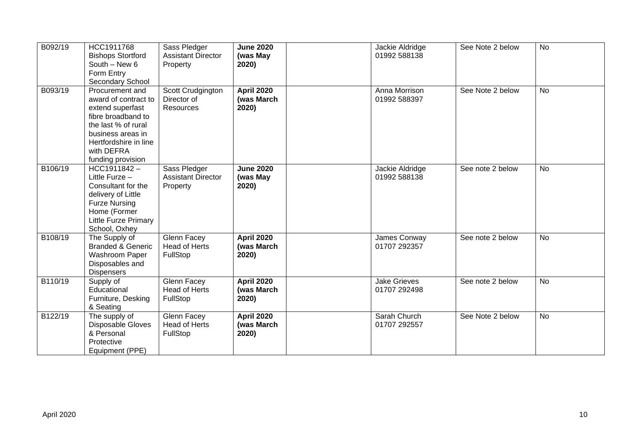| B092/19 | HCC1911768<br><b>Bishops Stortford</b><br>South - New 6<br>Form Entry<br>Secondary School                                                                                                 | Sass Pledger<br><b>Assistant Director</b><br>Property | <b>June 2020</b><br>(was May<br>2020)    | Jackie Aldridge<br>01992 588138     | See Note 2 below | No        |
|---------|-------------------------------------------------------------------------------------------------------------------------------------------------------------------------------------------|-------------------------------------------------------|------------------------------------------|-------------------------------------|------------------|-----------|
| B093/19 | Procurement and<br>award of contract to<br>extend superfast<br>fibre broadband to<br>the last % of rural<br>business areas in<br>Hertfordshire in line<br>with DEFRA<br>funding provision | Scott Crudgington<br>Director of<br>Resources         | <b>April 2020</b><br>(was March<br>2020) | Anna Morrison<br>01992 588397       | See Note 2 below | <b>No</b> |
| B106/19 | HCC1911842-<br>Little Furze -<br>Consultant for the<br>delivery of Little<br><b>Furze Nursing</b><br>Home (Former<br><b>Little Furze Primary</b><br>School, Oxhey                         | Sass Pledger<br><b>Assistant Director</b><br>Property | <b>June 2020</b><br>(was May<br>2020)    | Jackie Aldridge<br>01992 588138     | See note 2 below | No        |
| B108/19 | The Supply of<br><b>Branded &amp; Generic</b><br>Washroom Paper<br>Disposables and<br><b>Dispensers</b>                                                                                   | Glenn Facey<br><b>Head of Herts</b><br>FullStop       | <b>April 2020</b><br>(was March<br>2020) | James Conway<br>01707 292357        | See note 2 below | <b>No</b> |
| B110/19 | Supply of<br>Educational<br>Furniture, Desking<br>& Seating                                                                                                                               | Glenn Facey<br><b>Head of Herts</b><br>FullStop       | <b>April 2020</b><br>(was March<br>2020) | <b>Jake Grieves</b><br>01707 292498 | See note 2 below | <b>No</b> |
| B122/19 | The supply of<br>Disposable Gloves<br>& Personal<br>Protective<br>Equipment (PPE)                                                                                                         | Glenn Facey<br>Head of Herts<br>FullStop              | <b>April 2020</b><br>(was March<br>2020) | Sarah Church<br>01707 292557        | See Note 2 below | <b>No</b> |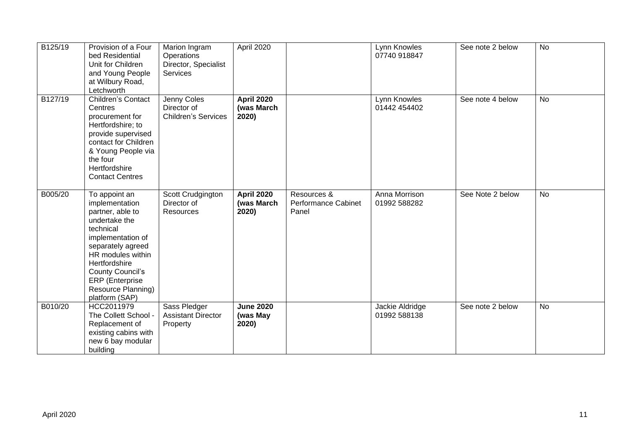| B125/19 | Provision of a Four<br>bed Residential<br>Unit for Children<br>and Young People<br>at Wilbury Road,<br>Letchworth                                                                                                                                              | Marion Ingram<br>Operations<br>Director, Specialist<br>Services | April 2020                               |                                                    | Lynn Knowles<br>07740 918847    | See note 2 below | <b>No</b> |
|---------|----------------------------------------------------------------------------------------------------------------------------------------------------------------------------------------------------------------------------------------------------------------|-----------------------------------------------------------------|------------------------------------------|----------------------------------------------------|---------------------------------|------------------|-----------|
| B127/19 | Children's Contact<br>Centres<br>procurement for<br>Hertfordshire; to<br>provide supervised<br>contact for Children<br>& Young People via<br>the four<br>Hertfordshire<br><b>Contact Centres</b>                                                               | Jenny Coles<br>Director of<br><b>Children's Services</b>        | <b>April 2020</b><br>(was March<br>2020) |                                                    | Lynn Knowles<br>01442 454402    | See note 4 below | <b>No</b> |
| B005/20 | To appoint an<br>implementation<br>partner, able to<br>undertake the<br>technical<br>implementation of<br>separately agreed<br>HR modules within<br>Hertfordshire<br><b>County Council's</b><br><b>ERP</b> (Enterprise<br>Resource Planning)<br>platform (SAP) | Scott Crudgington<br>Director of<br>Resources                   | <b>April 2020</b><br>(was March<br>2020) | Resources &<br><b>Performance Cabinet</b><br>Panel | Anna Morrison<br>01992 588282   | See Note 2 below | <b>No</b> |
| B010/20 | HCC2011979<br>The Collett School -<br>Replacement of<br>existing cabins with<br>new 6 bay modular<br>building                                                                                                                                                  | Sass Pledger<br><b>Assistant Director</b><br>Property           | <b>June 2020</b><br>(was May<br>2020)    |                                                    | Jackie Aldridge<br>01992 588138 | See note 2 below | <b>No</b> |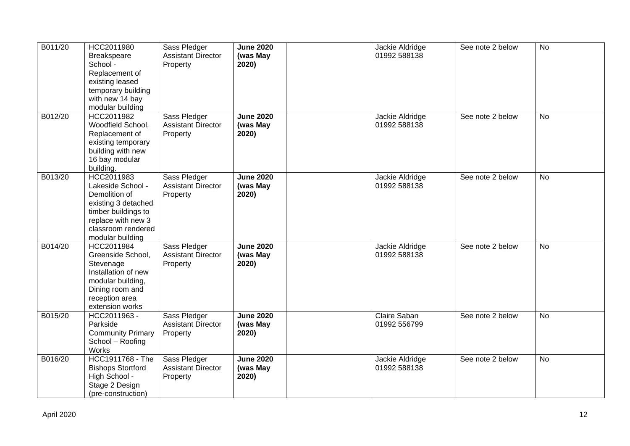| B011/20 | HCC2011980<br>Breakspeare                  | Sass Pledger<br><b>Assistant Director</b> | <b>June 2020</b><br>(was May | Jackie Aldridge<br>01992 588138 | See note 2 below | <b>No</b> |
|---------|--------------------------------------------|-------------------------------------------|------------------------------|---------------------------------|------------------|-----------|
|         | School -                                   | Property                                  | 2020)                        |                                 |                  |           |
|         | Replacement of                             |                                           |                              |                                 |                  |           |
|         | existing leased                            |                                           |                              |                                 |                  |           |
|         | temporary building                         |                                           |                              |                                 |                  |           |
|         | with new 14 bay                            |                                           |                              |                                 |                  |           |
|         | modular building                           |                                           |                              |                                 |                  |           |
| B012/20 | HCC2011982                                 | Sass Pledger                              | <b>June 2020</b>             | Jackie Aldridge                 | See note 2 below | <b>No</b> |
|         | Woodfield School,                          | <b>Assistant Director</b>                 | (was May                     | 01992 588138                    |                  |           |
|         | Replacement of                             | Property                                  | 2020)                        |                                 |                  |           |
|         | existing temporary                         |                                           |                              |                                 |                  |           |
|         | building with new                          |                                           |                              |                                 |                  |           |
|         | 16 bay modular                             |                                           |                              |                                 |                  |           |
|         | building.                                  |                                           |                              |                                 |                  |           |
| B013/20 | HCC2011983                                 | Sass Pledger                              | <b>June 2020</b>             | Jackie Aldridge                 | See note 2 below | No        |
|         | Lakeside School -                          | <b>Assistant Director</b>                 | (was May                     | 01992 588138                    |                  |           |
|         | Demolition of                              | Property                                  | 2020)                        |                                 |                  |           |
|         | existing 3 detached<br>timber buildings to |                                           |                              |                                 |                  |           |
|         | replace with new 3                         |                                           |                              |                                 |                  |           |
|         | classroom rendered                         |                                           |                              |                                 |                  |           |
|         | modular building                           |                                           |                              |                                 |                  |           |
| B014/20 | HCC2011984                                 | Sass Pledger                              | <b>June 2020</b>             | Jackie Aldridge                 | See note 2 below | No        |
|         | Greenside School,                          | <b>Assistant Director</b>                 | (was May                     | 01992 588138                    |                  |           |
|         | Stevenage                                  | Property                                  | 2020)                        |                                 |                  |           |
|         | Installation of new                        |                                           |                              |                                 |                  |           |
|         | modular building,                          |                                           |                              |                                 |                  |           |
|         | Dining room and                            |                                           |                              |                                 |                  |           |
|         | reception area                             |                                           |                              |                                 |                  |           |
|         | extension works                            |                                           |                              |                                 |                  |           |
| B015/20 | HCC2011963 -                               | Sass Pledger                              | <b>June 2020</b>             | Claire Saban                    | See note 2 below | No        |
|         | Parkside                                   | <b>Assistant Director</b>                 | (was May                     | 01992 556799                    |                  |           |
|         | <b>Community Primary</b>                   | Property                                  | 2020)                        |                                 |                  |           |
|         | School - Roofing                           |                                           |                              |                                 |                  |           |
|         | Works                                      |                                           |                              |                                 |                  |           |
| B016/20 | HCC1911768 - The                           | Sass Pledger                              | <b>June 2020</b>             | Jackie Aldridge                 | See note 2 below | <b>No</b> |
|         | <b>Bishops Stortford</b>                   | <b>Assistant Director</b>                 | (was May                     | 01992 588138                    |                  |           |
|         | High School -                              | Property                                  | 2020)                        |                                 |                  |           |
|         | Stage 2 Design                             |                                           |                              |                                 |                  |           |
|         | (pre-construction)                         |                                           |                              |                                 |                  |           |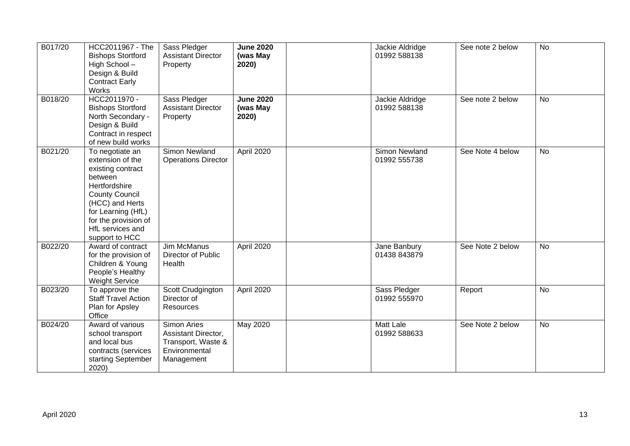| B017/20 | HCC2011967 - The<br><b>Bishops Stortford</b><br>High School-<br>Design & Build<br><b>Contract Early</b><br>Works                                                                                                     | Sass Pledger<br><b>Assistant Director</b><br>Property                                   | <b>June 2020</b><br>(was May<br>2020) | Jackie Aldridge<br>01992 588138  | See note 2 below | <b>No</b> |
|---------|----------------------------------------------------------------------------------------------------------------------------------------------------------------------------------------------------------------------|-----------------------------------------------------------------------------------------|---------------------------------------|----------------------------------|------------------|-----------|
| B018/20 | HCC2011970 -<br><b>Bishops Stortford</b><br>North Secondary -<br>Design & Build<br>Contract in respect<br>of new build works                                                                                         | Sass Pledger<br><b>Assistant Director</b><br>Property                                   | <b>June 2020</b><br>(was May<br>2020) | Jackie Aldridge<br>01992 588138  | See note 2 below | <b>No</b> |
| B021/20 | To negotiate an<br>extension of the<br>existing contract<br>between<br>Hertfordshire<br><b>County Council</b><br>(HCC) and Herts<br>for Learning (HfL)<br>for the provision of<br>HfL services and<br>support to HCC | Simon Newland<br><b>Operations Director</b>                                             | April 2020                            | Simon Newland<br>01992 555738    | See Note 4 below | <b>No</b> |
| B022/20 | Award of contract<br>for the provision of<br>Children & Young<br>People's Healthy<br><b>Weight Service</b>                                                                                                           | <b>Jim McManus</b><br>Director of Public<br>Health                                      | April 2020                            | Jane Banbury<br>01438 843879     | See Note 2 below | No        |
| B023/20 | To approve the<br><b>Staff Travel Action</b><br>Plan for Apsley<br>Office                                                                                                                                            | Scott Crudgington<br>Director of<br>Resources                                           | April 2020                            | Sass Pledger<br>01992 555970     | Report           | <b>No</b> |
| B024/20 | Award of various<br>school transport<br>and local bus<br>contracts (services<br>starting September<br>2020)                                                                                                          | Simon Aries<br>Assistant Director,<br>Transport, Waste &<br>Environmental<br>Management | May 2020                              | <b>Matt Lale</b><br>01992 588633 | See Note 2 below | <b>No</b> |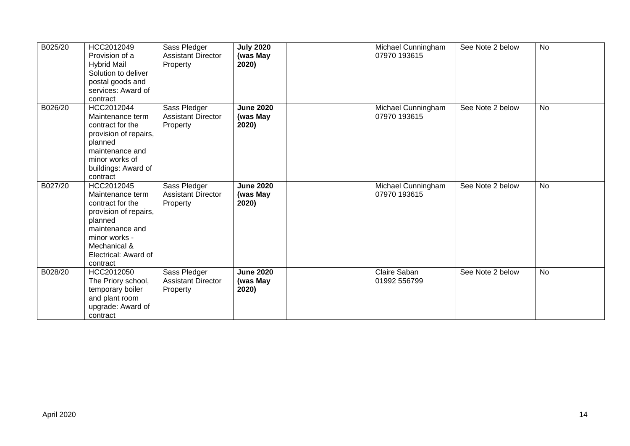| B025/20 | HCC2012049<br>Provision of a<br><b>Hybrid Mail</b><br>Solution to deliver<br>postal goods and<br>services: Award of<br>contract                                                | Sass Pledger<br><b>Assistant Director</b><br>Property | <b>July 2020</b><br>(was May<br>2020) | Michael Cunningham<br>07970 193615 | See Note 2 below | <b>No</b> |
|---------|--------------------------------------------------------------------------------------------------------------------------------------------------------------------------------|-------------------------------------------------------|---------------------------------------|------------------------------------|------------------|-----------|
| B026/20 | HCC2012044<br>Maintenance term<br>contract for the<br>provision of repairs,<br>planned<br>maintenance and<br>minor works of<br>buildings: Award of<br>contract                 | Sass Pledger<br><b>Assistant Director</b><br>Property | <b>June 2020</b><br>(was May<br>2020) | Michael Cunningham<br>07970 193615 | See Note 2 below | <b>No</b> |
| B027/20 | HCC2012045<br>Maintenance term<br>contract for the<br>provision of repairs,<br>planned<br>maintenance and<br>minor works -<br>Mechanical &<br>Electrical: Award of<br>contract | Sass Pledger<br><b>Assistant Director</b><br>Property | <b>June 2020</b><br>(was May<br>2020) | Michael Cunningham<br>07970 193615 | See Note 2 below | <b>No</b> |
| B028/20 | HCC2012050<br>The Priory school,<br>temporary boiler<br>and plant room<br>upgrade: Award of<br>contract                                                                        | Sass Pledger<br><b>Assistant Director</b><br>Property | <b>June 2020</b><br>(was May<br>2020) | Claire Saban<br>01992 556799       | See Note 2 below | No        |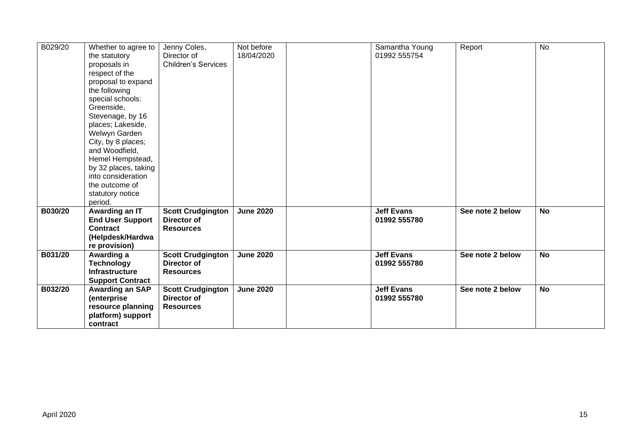| B029/20 | Whether to agree to           | Jenny Coles,               | Not before       | Samantha Young    | Report           | <b>No</b> |
|---------|-------------------------------|----------------------------|------------------|-------------------|------------------|-----------|
|         | the statutory                 | Director of                | 18/04/2020       | 01992 555754      |                  |           |
|         | proposals in                  | <b>Children's Services</b> |                  |                   |                  |           |
|         | respect of the                |                            |                  |                   |                  |           |
|         | proposal to expand            |                            |                  |                   |                  |           |
|         | the following                 |                            |                  |                   |                  |           |
|         | special schools:              |                            |                  |                   |                  |           |
|         | Greenside,                    |                            |                  |                   |                  |           |
|         | Stevenage, by 16              |                            |                  |                   |                  |           |
|         | places; Lakeside,             |                            |                  |                   |                  |           |
|         | Welwyn Garden                 |                            |                  |                   |                  |           |
|         | City, by 8 places;            |                            |                  |                   |                  |           |
|         | and Woodfield,                |                            |                  |                   |                  |           |
|         | Hemel Hempstead,              |                            |                  |                   |                  |           |
|         | by 32 places, taking          |                            |                  |                   |                  |           |
|         | into consideration            |                            |                  |                   |                  |           |
|         | the outcome of                |                            |                  |                   |                  |           |
|         | statutory notice              |                            |                  |                   |                  |           |
|         | period.                       |                            |                  |                   |                  |           |
| B030/20 | Awarding an IT                | <b>Scott Crudgington</b>   | <b>June 2020</b> | <b>Jeff Evans</b> | See note 2 below | <b>No</b> |
|         | <b>End User Support</b>       | Director of                |                  | 01992 555780      |                  |           |
|         | <b>Contract</b>               | <b>Resources</b>           |                  |                   |                  |           |
|         | (Helpdesk/Hardwa              |                            |                  |                   |                  |           |
|         | re provision)                 |                            |                  |                   |                  |           |
| B031/20 | Awarding a                    | <b>Scott Crudgington</b>   | <b>June 2020</b> | <b>Jeff Evans</b> | See note 2 below | <b>No</b> |
|         | <b>Technology</b>             | Director of                |                  | 01992 555780      |                  |           |
|         | <b>Infrastructure</b>         | <b>Resources</b>           |                  |                   |                  |           |
|         | <b>Support Contract</b>       |                            |                  |                   |                  |           |
| B032/20 | <b>Awarding an SAP</b>        | <b>Scott Crudgington</b>   | <b>June 2020</b> | <b>Jeff Evans</b> | See note 2 below | <b>No</b> |
|         | (enterprise                   | Director of                |                  | 01992 555780      |                  |           |
|         | resource planning             | <b>Resources</b>           |                  |                   |                  |           |
|         |                               |                            |                  |                   |                  |           |
|         | platform) support<br>contract |                            |                  |                   |                  |           |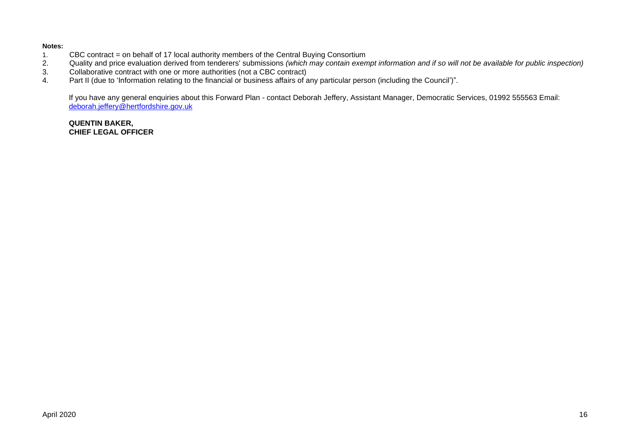#### **Notes:**

- 1. CBC contract = on behalf of 17 local authority members of the Central Buying Consortium<br>2. Quality and price evaluation derived from tenderers' submissions (which may contain exen
- 2. Quality and price evaluation derived from tenderers' submissions *(which may contain exempt information and if so will not be available for public inspection)*
- 3. Collaborative contract with one or more authorities (not a CBC contract)<br>4. Part II (due to 'Information relating to the financial or business affairs of a
- Part II (due to 'Information relating to the financial or business affairs of any particular person (including the Council')".

If you have any general enquiries about this Forward Plan - contact Deborah Jeffery, Assistant Manager, Democratic Services, 01992 555563 Email: [deborah.jeffery@hertfordshire.gov.uk](mailto:deborah.jeffery@hertfordshire.gov.uk) 

### **QUENTIN BAKER, CHIEF LEGAL OFFICER**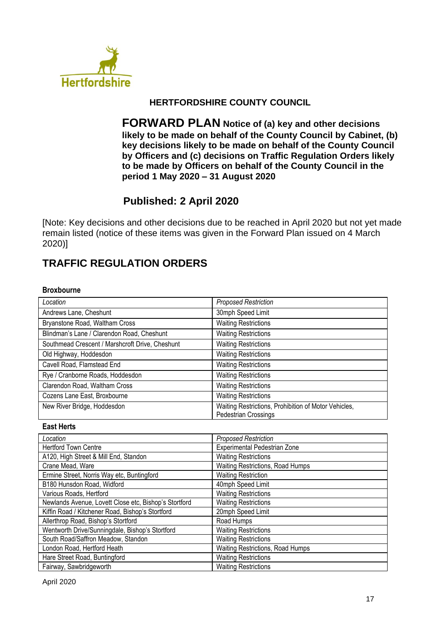

# **HERTFORDSHIRE COUNTY COUNCIL**

**FORWARD PLAN Notice of (a) key and other decisions likely to be made on behalf of the County Council by Cabinet, (b) key decisions likely to be made on behalf of the County Council by Officers and (c) decisions on Traffic Regulation Orders likely to be made by Officers on behalf of the County Council in the period 1 May 2020 – 31 August 2020**

# **Published: 2 April 2020**

[Note: Key decisions and other decisions due to be reached in April 2020 but not yet made remain listed (notice of these items was given in the Forward Plan issued on 4 March 2020)]

# **TRAFFIC REGULATION ORDERS**

### **Broxbourne**

| Location                                        | <b>Proposed Restriction</b>                                                  |
|-------------------------------------------------|------------------------------------------------------------------------------|
| Andrews Lane, Cheshunt                          | 30mph Speed Limit                                                            |
| Bryanstone Road, Waltham Cross                  | <b>Waiting Restrictions</b>                                                  |
| Blindman's Lane / Clarendon Road, Cheshunt      | <b>Waiting Restrictions</b>                                                  |
| Southmead Crescent / Marshcroft Drive, Cheshunt | <b>Waiting Restrictions</b>                                                  |
| Old Highway, Hoddesdon                          | <b>Waiting Restrictions</b>                                                  |
| Cavell Road, Flamstead End                      | <b>Waiting Restrictions</b>                                                  |
| Rye / Cranborne Roads, Hoddesdon                | <b>Waiting Restrictions</b>                                                  |
| Clarendon Road, Waltham Cross                   | <b>Waiting Restrictions</b>                                                  |
| Cozens Lane East, Broxbourne                    | <b>Waiting Restrictions</b>                                                  |
| New River Bridge, Hoddesdon                     | Waiting Restrictions, Prohibition of Motor Vehicles,<br>Pedestrian Crossings |

### **East Herts**

| Location                                              | <b>Proposed Restriction</b>      |
|-------------------------------------------------------|----------------------------------|
| <b>Hertford Town Centre</b>                           | Experimental Pedestrian Zone     |
| A120, High Street & Mill End, Standon                 | <b>Waiting Restrictions</b>      |
| Crane Mead, Ware                                      | Waiting Restrictions, Road Humps |
| Ermine Street, Norris Way etc, Buntingford            | <b>Waiting Restriction</b>       |
| B180 Hunsdon Road, Widford                            | 40mph Speed Limit                |
| Various Roads, Hertford                               | <b>Waiting Restrictions</b>      |
| Newlands Avenue, Lovett Close etc, Bishop's Stortford | <b>Waiting Restrictions</b>      |
| Kiffin Road / Kitchener Road, Bishop's Stortford      | 20mph Speed Limit                |
| Allerthrop Road, Bishop's Stortford                   | Road Humps                       |
| Wentworth Drive/Sunningdale, Bishop's Stortford       | <b>Waiting Restrictions</b>      |
| South Road/Saffron Meadow, Standon                    | <b>Waiting Restrictions</b>      |
| London Road, Hertford Heath                           | Waiting Restrictions, Road Humps |
| Hare Street Road, Buntingford                         | <b>Waiting Restrictions</b>      |
| Fairway, Sawbridgeworth                               | <b>Waiting Restrictions</b>      |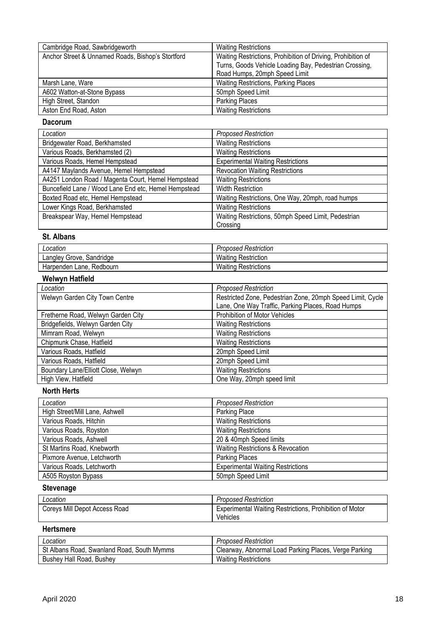| Cambridge Road, Sawbridgeworth                    | <b>Waiting Restrictions</b>                                  |
|---------------------------------------------------|--------------------------------------------------------------|
| Anchor Street & Unnamed Roads, Bishop's Stortford | Waiting Restrictions, Prohibition of Driving, Prohibition of |
|                                                   | Turns, Goods Vehicle Loading Bay, Pedestrian Crossing,       |
|                                                   | Road Humps, 20mph Speed Limit                                |
| Marsh Lane, Ware                                  | <b>Waiting Restrictions, Parking Places</b>                  |
| A602 Watton-at-Stone Bypass                       | 50mph Speed Limit                                            |
| High Street, Standon                              | <b>Parking Places</b>                                        |
| Aston End Road, Aston                             | <b>Waiting Restrictions</b>                                  |

#### **Dacorum**

| Location                                             | <b>Proposed Restriction</b>                         |
|------------------------------------------------------|-----------------------------------------------------|
| Bridgewater Road, Berkhamsted                        | <b>Waiting Restrictions</b>                         |
| Various Roads, Berkhamsted (2)                       | <b>Waiting Restrictions</b>                         |
| Various Roads, Hemel Hempstead                       | <b>Experimental Waiting Restrictions</b>            |
| A4147 Maylands Avenue, Hemel Hempstead               | <b>Revocation Waiting Restrictions</b>              |
| A4251 London Road / Magenta Court, Hemel Hempstead   | <b>Waiting Restrictions</b>                         |
| Buncefield Lane / Wood Lane End etc, Hemel Hempstead | <b>Width Restriction</b>                            |
| Boxted Road etc, Hemel Hempstead                     | Waiting Restrictions, One Way, 20mph, road humps    |
| Lower Kings Road, Berkhamsted                        | <b>Waiting Restrictions</b>                         |
| Breakspear Way, Hemel Hempstead                      | Waiting Restrictions, 50mph Speed Limit, Pedestrian |
|                                                      | Crossing                                            |

## **St. Albans**

| Location                      | <b>Proposed Restriction</b> |
|-------------------------------|-----------------------------|
| ∟angley Grove, S<br>Sandridge | <b>Waiting Restriction</b>  |
| Redbourn<br>Harpenden Lane,   | <b>Waiting Restrictions</b> |

## **Welwyn Hatfield**

| Location                            | <b>Proposed Restriction</b>                                |
|-------------------------------------|------------------------------------------------------------|
| Welwyn Garden City Town Centre      | Restricted Zone, Pedestrian Zone, 20mph Speed Limit, Cycle |
|                                     | Lane, One Way Traffic, Parking Places, Road Humps          |
| Fretherne Road, Welwyn Garden City  | <b>Prohibition of Motor Vehicles</b>                       |
| Bridgefields, Welwyn Garden City    | <b>Waiting Restrictions</b>                                |
| Mimram Road, Welwyn                 | <b>Waiting Restrictions</b>                                |
| Chipmunk Chase, Hatfield            | <b>Waiting Restrictions</b>                                |
| Various Roads, Hatfield             | 20mph Speed Limit                                          |
| Various Roads, Hatfield             | 20mph Speed Limit                                          |
| Boundary Lane/Elliott Close, Welwyn | <b>Waiting Restrictions</b>                                |
| High View, Hatfield                 | One Way, 20mph speed limit                                 |

# **North Herts**

| Location                       | <b>Proposed Restriction</b>              |
|--------------------------------|------------------------------------------|
| High Street/Mill Lane, Ashwell | Parking Place                            |
| Various Roads, Hitchin         | <b>Waiting Restrictions</b>              |
| Various Roads, Royston         | <b>Waiting Restrictions</b>              |
| Various Roads, Ashwell         | 20 & 40mph Speed limits                  |
| St Martins Road, Knebworth     | Waiting Restrictions & Revocation        |
| Pixmore Avenue, Letchworth     | <b>Parking Places</b>                    |
| Various Roads, Letchworth      | <b>Experimental Waiting Restrictions</b> |
| A505 Royston Bypass            | 50mph Speed Limit                        |

# **Stevenage**

| ∟ocation                      | <b>Proposed Restriction</b>                                                |
|-------------------------------|----------------------------------------------------------------------------|
| Coreys Mill Depot Access Road | <b>Experimental Waiting Restrictions, Prohibition of Motor</b><br>Vehicles |

# **Hertsmere**

| Location                                   | <b>Proposed Restriction</b>                           |
|--------------------------------------------|-------------------------------------------------------|
| St Albans Road, Swanland Road, South Mymms | Clearway, Abnormal Load Parking Places, Verge Parking |
| Bushey Hall Road, Bushey                   | Waiting Restrictions                                  |